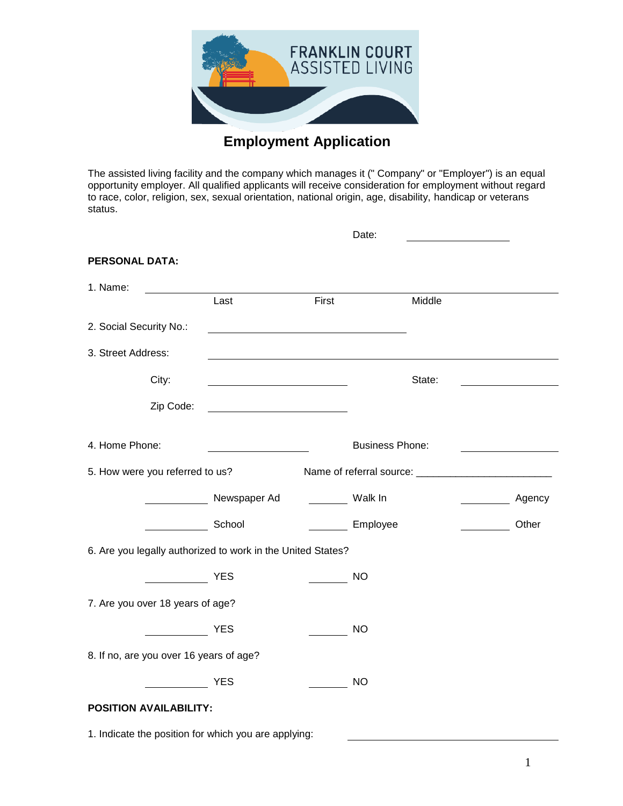

## **Employment Application**

The assisted living facility and the company which manages it (" Company" or "Employer") is an equal opportunity employer. All qualified applicants will receive consideration for employment without regard to race, color, religion, sex, sexual orientation, national origin, age, disability, handicap or veterans status.

|                         |                                         |                                                                                                                       |       | Date:                  |                                                   |        |
|-------------------------|-----------------------------------------|-----------------------------------------------------------------------------------------------------------------------|-------|------------------------|---------------------------------------------------|--------|
| <b>PERSONAL DATA:</b>   |                                         |                                                                                                                       |       |                        |                                                   |        |
| 1. Name:                |                                         |                                                                                                                       |       |                        |                                                   |        |
|                         |                                         | Last                                                                                                                  | First |                        | Middle                                            |        |
| 2. Social Security No.: |                                         | <u> 1989 - John Stein, mars and de Branch and de Branch and de Branch and de Branch and de Branch and de Branch a</u> |       |                        |                                                   |        |
| 3. Street Address:      |                                         |                                                                                                                       |       |                        |                                                   |        |
|                         | City:                                   |                                                                                                                       |       |                        | State:                                            |        |
|                         | Zip Code:                               |                                                                                                                       |       |                        |                                                   |        |
| 4. Home Phone:          |                                         |                                                                                                                       |       | <b>Business Phone:</b> |                                                   |        |
|                         | 5. How were you referred to us?         |                                                                                                                       |       |                        |                                                   |        |
|                         |                                         | _______________ Newspaper Ad _________ Walk In                                                                        |       |                        | $\overline{\phantom{a}}$                          | Agency |
|                         |                                         | School                                                                                                                |       | Employee               | $\frac{1}{2}$ and $\frac{1}{2}$ and $\frac{1}{2}$ | Other  |
|                         |                                         | 6. Are you legally authorized to work in the United States?                                                           |       |                        |                                                   |        |
|                         |                                         | <b>YES</b>                                                                                                            |       | <b>NO</b>              |                                                   |        |
|                         | 7. Are you over 18 years of age?        |                                                                                                                       |       |                        |                                                   |        |
|                         |                                         | <b>YES</b>                                                                                                            |       | <b>NO</b>              |                                                   |        |
|                         | 8. If no, are you over 16 years of age? |                                                                                                                       |       |                        |                                                   |        |
|                         |                                         | <b>YES</b>                                                                                                            |       | <b>NO</b>              |                                                   |        |
|                         | <b>POSITION AVAILABILITY:</b>           |                                                                                                                       |       |                        |                                                   |        |

1. Indicate the position for which you are applying: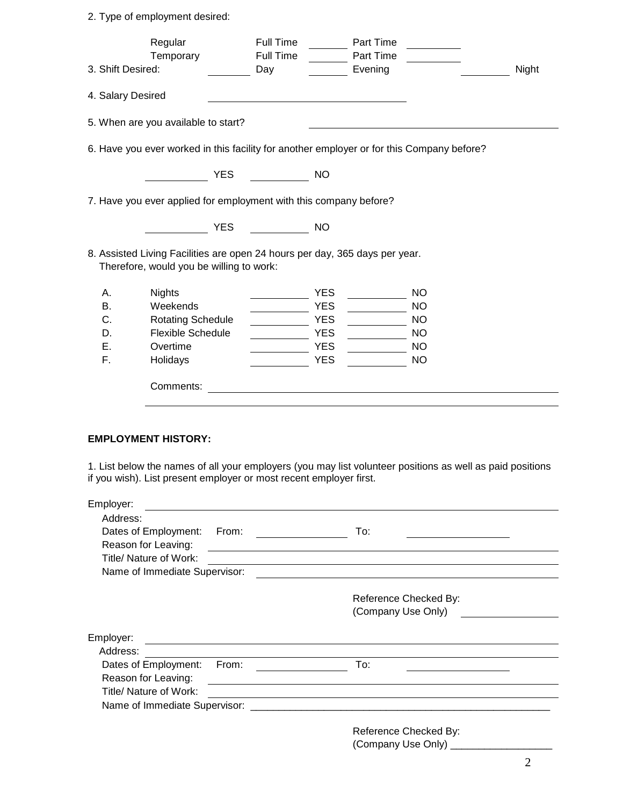2. Type of employment desired:

| 3. Shift Desired: | Regular<br>Temporary                                                                                                    |            | Full Time<br>Full Time<br>Day |            | Part Time<br>Part Time<br>Evening |           | Night |
|-------------------|-------------------------------------------------------------------------------------------------------------------------|------------|-------------------------------|------------|-----------------------------------|-----------|-------|
| 4. Salary Desired |                                                                                                                         |            |                               |            |                                   |           |       |
|                   | 5. When are you available to start?                                                                                     |            |                               |            |                                   |           |       |
|                   | 6. Have you ever worked in this facility for another employer or for this Company before?                               |            |                               |            |                                   |           |       |
|                   |                                                                                                                         | <b>YES</b> |                               | <b>NO</b>  |                                   |           |       |
|                   | 7. Have you ever applied for employment with this company before?                                                       |            |                               |            |                                   |           |       |
|                   |                                                                                                                         | <b>YES</b> |                               | <b>NO</b>  |                                   |           |       |
|                   | 8. Assisted Living Facilities are open 24 hours per day, 365 days per year.<br>Therefore, would you be willing to work: |            |                               |            |                                   |           |       |
| Α.                | <b>Nights</b>                                                                                                           |            |                               | <b>YES</b> |                                   | <b>NO</b> |       |
| В.                | Weekends                                                                                                                |            |                               | <b>YES</b> |                                   | <b>NO</b> |       |
| C.                | <b>Rotating Schedule</b>                                                                                                |            |                               | <b>YES</b> |                                   | <b>NO</b> |       |
| D.                | <b>Flexible Schedule</b>                                                                                                |            |                               | <b>YES</b> |                                   | <b>NO</b> |       |
| Ε.                | Overtime                                                                                                                |            |                               | <b>YES</b> |                                   | <b>NO</b> |       |
| F.                | Holidays                                                                                                                |            |                               | <b>YES</b> |                                   | <b>NO</b> |       |
|                   | Comments:                                                                                                               |            |                               |            |                                   |           |       |
|                   |                                                                                                                         |            |                               |            |                                   |           |       |

## **EMPLOYMENT HISTORY:**

1. List below the names of all your employers (you may list volunteer positions as well as paid positions if you wish). List present employer or most recent employer first.

| Employer:                     |                                                                                                                      |                                                                  |
|-------------------------------|----------------------------------------------------------------------------------------------------------------------|------------------------------------------------------------------|
| Address:                      |                                                                                                                      |                                                                  |
| Dates of Employment:          | From:                                                                                                                | To:                                                              |
| Reason for Leaving:           |                                                                                                                      | <u> 1989 - Johann John Stone, Amerikaansk politiker (* 1908)</u> |
| Title/ Nature of Work:        |                                                                                                                      |                                                                  |
| Name of Immediate Supervisor: |                                                                                                                      |                                                                  |
|                               |                                                                                                                      | Reference Checked By:<br>(Company Use Only)                      |
|                               |                                                                                                                      |                                                                  |
| Employer:                     | <u> 1989 - Johann John Stone, markin film yn y brening yn y brening yn y brening yn y brening y brening yn y bre</u> |                                                                  |
| Address:                      | <u> 1980 - Johann Stein, fransk politik (d. 1980)</u>                                                                |                                                                  |
| Dates of Employment:          | From:                                                                                                                | To:                                                              |
| Reason for Leaving:           |                                                                                                                      |                                                                  |
| Title/ Nature of Work:        |                                                                                                                      | <u> 1989 - Johann Barnett, fransk politik (f. 1989)</u>          |
|                               |                                                                                                                      |                                                                  |
|                               |                                                                                                                      | Reference Checked By:                                            |
|                               |                                                                                                                      |                                                                  |
|                               |                                                                                                                      |                                                                  |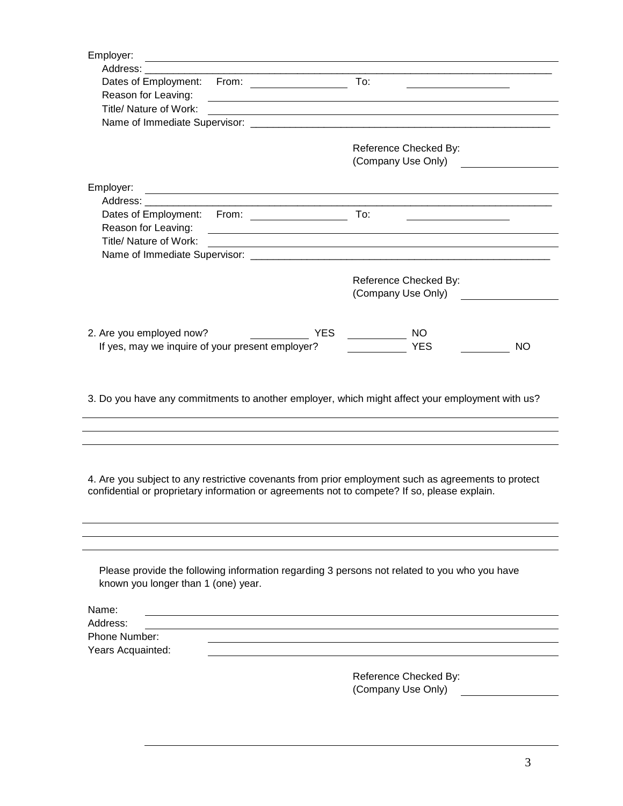| Employer:                                                                                                                                                                                                                      |                                                                                                                  |
|--------------------------------------------------------------------------------------------------------------------------------------------------------------------------------------------------------------------------------|------------------------------------------------------------------------------------------------------------------|
| Address: Andreas Address and Address and Address and Address and Address and Address and Address and Address and Address and Address and Address and Address and Address and Address and Address and Address and Address and A |                                                                                                                  |
|                                                                                                                                                                                                                                | the control of the control of the control of the control of the control of the control of                        |
| Reason for Leaving:<br>Title/ Nature of Work:                                                                                                                                                                                  | and the control of the control of the control of the control of the control of the control of the control of the |
|                                                                                                                                                                                                                                |                                                                                                                  |
|                                                                                                                                                                                                                                |                                                                                                                  |
|                                                                                                                                                                                                                                | Reference Checked By:                                                                                            |
|                                                                                                                                                                                                                                | (Company Use Only)                                                                                               |
|                                                                                                                                                                                                                                |                                                                                                                  |
| Employer:<br><u> 1989 - Johann Stoff, deutscher Stoffen und der Stoffen und der Stoffen und der Stoffen und der Stoffen und der</u>                                                                                            |                                                                                                                  |
|                                                                                                                                                                                                                                |                                                                                                                  |
|                                                                                                                                                                                                                                | To:                                                                                                              |
| Reason for Leaving:<br>Title/ Nature of Work:                                                                                                                                                                                  |                                                                                                                  |
|                                                                                                                                                                                                                                | and the control of the control of the control of the control of the control of the control of the control of the |
|                                                                                                                                                                                                                                |                                                                                                                  |
|                                                                                                                                                                                                                                | Reference Checked By:                                                                                            |
|                                                                                                                                                                                                                                | (Company Use Only)                                                                                               |
|                                                                                                                                                                                                                                |                                                                                                                  |
|                                                                                                                                                                                                                                |                                                                                                                  |
| 2. Are you employed now?<br>YES.                                                                                                                                                                                               | NO.<br><u> 1990 - Jan Barnett, p</u>                                                                             |
| If yes, may we inquire of your present employer?                                                                                                                                                                               | <b>YES</b><br><b>NO</b>                                                                                          |
|                                                                                                                                                                                                                                |                                                                                                                  |
| 3. Do you have any commitments to another employer, which might affect your employment with us?                                                                                                                                |                                                                                                                  |
|                                                                                                                                                                                                                                |                                                                                                                  |
|                                                                                                                                                                                                                                |                                                                                                                  |
|                                                                                                                                                                                                                                |                                                                                                                  |
| 4. Are you subject to any restrictive covenants from prior employment such as agreements to protect                                                                                                                            |                                                                                                                  |
| confidential or proprietary information or agreements not to compete? If so, please explain.                                                                                                                                   |                                                                                                                  |
|                                                                                                                                                                                                                                |                                                                                                                  |
|                                                                                                                                                                                                                                |                                                                                                                  |
|                                                                                                                                                                                                                                |                                                                                                                  |
|                                                                                                                                                                                                                                |                                                                                                                  |
|                                                                                                                                                                                                                                |                                                                                                                  |
| Please provide the following information regarding 3 persons not related to you who you have<br>known you longer than 1 (one) year.                                                                                            |                                                                                                                  |
|                                                                                                                                                                                                                                |                                                                                                                  |
| Name:                                                                                                                                                                                                                          |                                                                                                                  |
| Address:                                                                                                                                                                                                                       |                                                                                                                  |
| Phone Number:                                                                                                                                                                                                                  |                                                                                                                  |
| Years Acquainted:                                                                                                                                                                                                              |                                                                                                                  |
|                                                                                                                                                                                                                                |                                                                                                                  |
|                                                                                                                                                                                                                                | Reference Checked By:                                                                                            |
|                                                                                                                                                                                                                                | (Company Use Only)                                                                                               |
|                                                                                                                                                                                                                                |                                                                                                                  |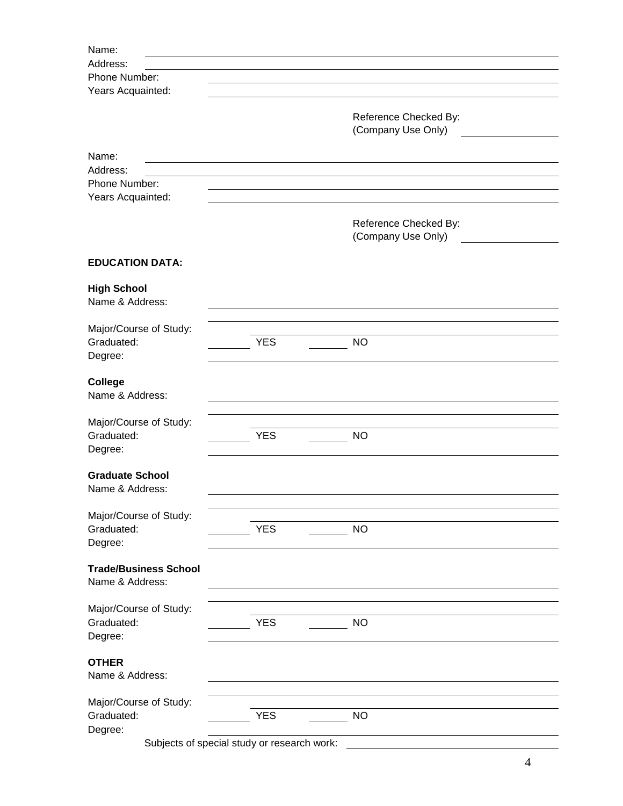| Name:                                     |                                             |                       |
|-------------------------------------------|---------------------------------------------|-----------------------|
| Address:                                  |                                             |                       |
| Phone Number:                             |                                             |                       |
| Years Acquainted:                         |                                             |                       |
|                                           |                                             |                       |
|                                           |                                             | Reference Checked By: |
|                                           |                                             | (Company Use Only)    |
|                                           |                                             |                       |
| Name:                                     |                                             |                       |
| Address:                                  |                                             |                       |
| Phone Number:                             |                                             |                       |
| Years Acquainted:                         |                                             |                       |
|                                           |                                             | Reference Checked By: |
|                                           |                                             | (Company Use Only)    |
|                                           |                                             |                       |
| <b>EDUCATION DATA:</b>                    |                                             |                       |
| <b>High School</b>                        |                                             |                       |
| Name & Address:                           |                                             |                       |
|                                           |                                             |                       |
| Major/Course of Study:                    |                                             |                       |
| Graduated:                                | <b>YES</b>                                  | <b>NO</b>             |
| Degree:                                   |                                             |                       |
|                                           |                                             |                       |
| <b>College</b>                            |                                             |                       |
| Name & Address:                           |                                             |                       |
|                                           |                                             |                       |
| Major/Course of Study:                    |                                             |                       |
| Graduated:                                | <b>YES</b>                                  | <b>NO</b>             |
| Degree:                                   |                                             |                       |
|                                           |                                             |                       |
| <b>Graduate School</b><br>Name & Address: |                                             |                       |
|                                           |                                             |                       |
| Major/Course of Study:                    |                                             |                       |
| Graduated:                                | <b>YES</b>                                  | <b>NO</b>             |
| Degree:                                   |                                             |                       |
|                                           |                                             |                       |
| <b>Trade/Business School</b>              |                                             |                       |
| Name & Address:                           |                                             |                       |
|                                           |                                             |                       |
| Major/Course of Study:                    |                                             |                       |
| Graduated:                                | <b>YES</b>                                  | <b>NO</b>             |
| Degree:                                   |                                             |                       |
|                                           |                                             |                       |
| <b>OTHER</b>                              |                                             |                       |
| Name & Address:                           |                                             |                       |
|                                           |                                             |                       |
| Major/Course of Study:<br>Graduated:      | <b>YES</b>                                  | <b>NO</b>             |
| Degree:                                   |                                             |                       |
|                                           | Subjects of special study or research work: |                       |
|                                           |                                             |                       |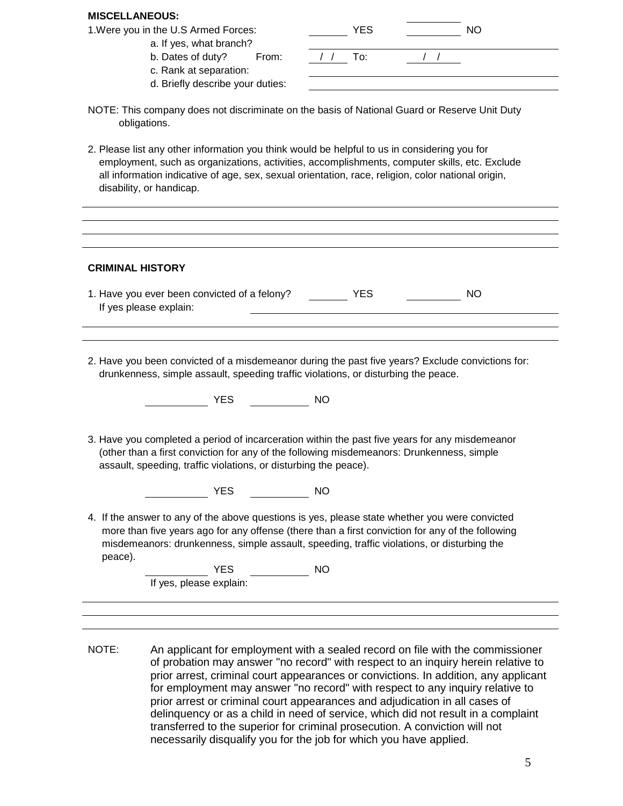## **MISCELLANEOUS:**

|  |  |  |  |  |  | Were you in the U.S Armed Forces: |
|--|--|--|--|--|--|-----------------------------------|
|--|--|--|--|--|--|-----------------------------------|

- a. If yes, what branch?
	- b. Dates of duty? From:
	- c. Rank at separation:
	- d. Briefly describe your duties:

| 1. Were you in the U.S Armed Forces:  | YES | NO. |  |
|---------------------------------------|-----|-----|--|
| a. If yes, what branch?               |     |     |  |
| b. Dates of duty?<br>From:            | To: |     |  |
| c. Rank at separation:                |     |     |  |
| d <b>Priofly docoribo</b> vour dution |     |     |  |

- NOTE: This company does not discriminate on the basis of National Guard or Reserve Unit Duty obligations.
- 2. Please list any other information you think would be helpful to us in considering you for employment, such as organizations, activities, accomplishments, computer skills, etc. Exclude all information indicative of age, sex, sexual orientation, race, religion, color national origin, disability, or handicap.

| <b>CRIMINAL HISTORY</b>                                                |            |           |
|------------------------------------------------------------------------|------------|-----------|
| 1. Have you ever been convicted of a felony?<br>If yes please explain: | <b>YES</b> | <b>NO</b> |
|                                                                        |            |           |

2. Have you been convicted of a misdemeanor during the past five years? Exclude convictions for: drunkenness, simple assault, speeding traffic violations, or disturbing the peace.

**THE SECTION CONTROL** 

3. Have you completed a period of incarceration within the past five years for any misdemeanor (other than a first conviction for any of the following misdemeanors: Drunkenness, simple assault, speeding, traffic violations, or disturbing the peace).

YES NO

4. If the answer to any of the above questions is yes, please state whether you were convicted more than five years ago for any offense (there than a first conviction for any of the following misdemeanors: drunkenness, simple assault, speeding, traffic violations, or disturbing the peace).

NO NO

If yes, please explain:

NOTE: An applicant for employment with a sealed record on file with the commissioner of probation may answer "no record" with respect to an inquiry herein relative to prior arrest, criminal court appearances or convictions. In addition, any applicant for employment may answer "no record" with respect to any inquiry relative to prior arrest or criminal court appearances and adjudication in all cases of delinquency or as a child in need of service, which did not result in a complaint transferred to the superior for criminal prosecution. A conviction will not necessarily disqualify you for the job for which you have applied.